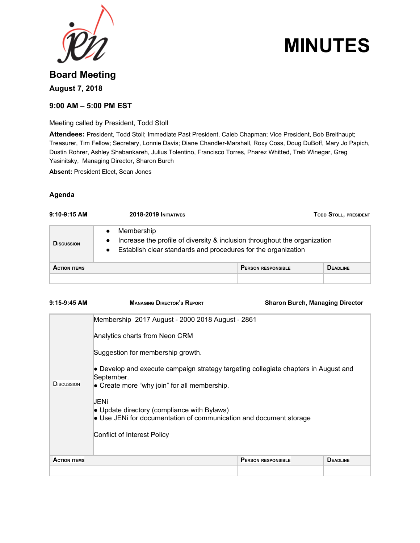

# **MINUTES**

## **Board Meeting August 7, 2018**

#### **9:00 AM – 5:00 PM EST**

Meeting called by President, Todd Stoll

**Attendees:** President, Todd Stoll; Immediate Past President, Caleb Chapman; Vice President, Bob Breithaupt; Treasurer, Tim Fellow; Secretary, Lonnie Davis; Diane Chandler-Marshall, Roxy Coss, Doug DuBoff, Mary Jo Papich, Dustin Rohrer, Ashley Shabankareh, Julius Tolentino, Francisco Torres, Pharez Whitted, Treb Winegar, Greg Yasinitsky, Managing Director, Sharon Burch

**Absent:** President Elect, Sean Jones

#### **Agenda**

| $9:10-9:15$ AM      | <b>2018-2019 INITIATIVES</b>                                                                                                                                                       |                           | <b>TODD STOLL, PRESIDENT</b> |
|---------------------|------------------------------------------------------------------------------------------------------------------------------------------------------------------------------------|---------------------------|------------------------------|
| <b>D</b> ISCUSSION  | Membership<br>Increase the profile of diversity & inclusion throughout the organization<br>$\bullet$<br>Establish clear standards and procedures for the organization<br>$\bullet$ |                           |                              |
| <b>ACTION ITEMS</b> |                                                                                                                                                                                    | <b>PERSON RESPONSIBLE</b> | <b>DEADLINE</b>              |
|                     |                                                                                                                                                                                    |                           |                              |

| $9:15-9:45$ AM      | <b>MANAGING DIRECTOR'S REPORT</b>                                                                                                                                                                                                                                            | <b>Sharon Burch, Managing Director</b> |                 |
|---------------------|------------------------------------------------------------------------------------------------------------------------------------------------------------------------------------------------------------------------------------------------------------------------------|----------------------------------------|-----------------|
| <b>D</b> ISCUSSION  | Membership 2017 August - 2000 2018 August - 2861<br>Analytics charts from Neon CRM<br>Suggestion for membership growth.<br>• Develop and execute campaign strategy targeting collegiate chapters in August and<br>September.<br>• Create more "why join" for all membership. |                                        |                 |
|                     | JENi<br>• Update directory (compliance with Bylaws)<br>• Use JENi for documentation of communication and document storage<br>Conflict of Interest Policy                                                                                                                     |                                        |                 |
| <b>ACTION ITEMS</b> |                                                                                                                                                                                                                                                                              | <b>PERSON RESPONSIBLE</b>              | <b>DEADLINE</b> |
|                     |                                                                                                                                                                                                                                                                              |                                        |                 |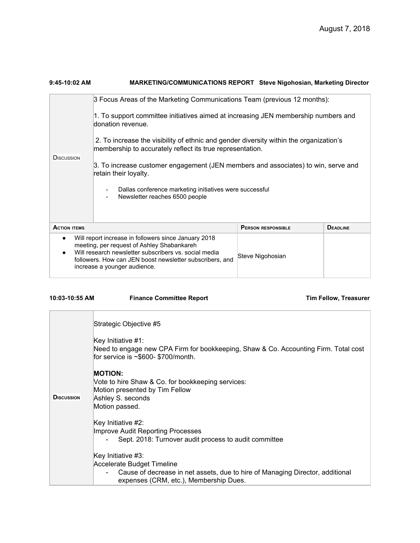### **9:45-10:02 AM MARKETING/COMMUNICATIONS REPORT Steve Nigohosian, Marketing Director**

| Discussion             | 3 Focus Areas of the Marketing Communications Team (previous 12 months):<br>1. To support committee initiatives aimed at increasing JEN membership numbers and<br>donation revenue.<br>2. To increase the visibility of ethnic and gender diversity within the organization's<br>membership to accurately reflect its true representation.<br>3. To increase customer engagement (JEN members and associates) to win, serve and<br>retain their loyalty.<br>Dallas conference marketing initiatives were successful<br>$\overline{\phantom{a}}$<br>Newsletter reaches 6500 people |                           |                 |
|------------------------|-----------------------------------------------------------------------------------------------------------------------------------------------------------------------------------------------------------------------------------------------------------------------------------------------------------------------------------------------------------------------------------------------------------------------------------------------------------------------------------------------------------------------------------------------------------------------------------|---------------------------|-----------------|
| <b>ACTION ITEMS</b>    |                                                                                                                                                                                                                                                                                                                                                                                                                                                                                                                                                                                   | <b>PERSON RESPONSIBLE</b> | <b>DEADLINE</b> |
| $\bullet$<br>$\bullet$ | Will report increase in followers since January 2018<br>meeting, per request of Ashley Shabankareh<br>Will research newsletter subscribers vs. social media<br>followers. How can JEN boost newsletter subscribers, and<br>increase a younger audience.                                                                                                                                                                                                                                                                                                                           | Steve Nigohosian          |                 |

#### **10:03-10:55 AM Finance Committee Report Tim Fellow, Treasurer**

|                    | Strategic Objective #5                                                                                                                                                      |
|--------------------|-----------------------------------------------------------------------------------------------------------------------------------------------------------------------------|
|                    | Key Initiative #1:<br>Need to engage new CPA Firm for bookkeeping, Shaw & Co. Accounting Firm. Total cost<br>for service is ~\$600- \$700/month.                            |
| <b>D</b> iscussion | <b>MOTION:</b><br>Vote to hire Shaw & Co. for bookkeeping services:<br>Motion presented by Tim Fellow<br>Ashley S. seconds<br>Motion passed.                                |
|                    | Key Initiative #2:<br><b>Improve Audit Reporting Processes</b><br>Sept. 2018: Turnover audit process to audit committee                                                     |
|                    | Key Initiative #3:<br>Accelerate Budget Timeline<br>Cause of decrease in net assets, due to hire of Managing Director, additional<br>expenses (CRM, etc.), Membership Dues. |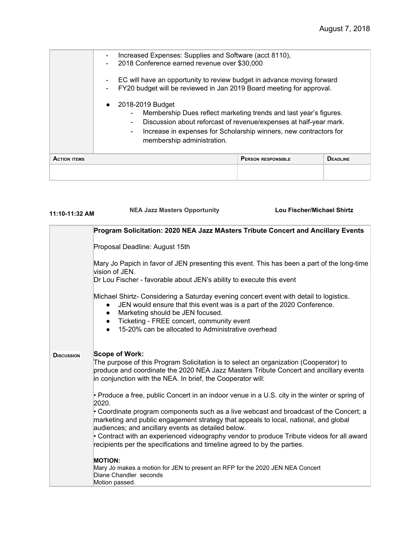|                     | Increased Expenses: Supplies and Software (acct 8110),<br>2018 Conference earned revenue over \$30,000<br>$\overline{\phantom{a}}$<br>EC will have an opportunity to review budget in advance moving forward<br>FY20 budget will be reviewed in Jan 2019 Board meeting for approval.<br>$\overline{\phantom{a}}$ |                                                                                                                                                                                                                                           |                 |  |
|---------------------|------------------------------------------------------------------------------------------------------------------------------------------------------------------------------------------------------------------------------------------------------------------------------------------------------------------|-------------------------------------------------------------------------------------------------------------------------------------------------------------------------------------------------------------------------------------------|-----------------|--|
|                     | 2018-2019 Budget<br>$\bullet$<br>$\blacksquare$                                                                                                                                                                                                                                                                  | Membership Dues reflect marketing trends and last year's figures.<br>Discussion about reforcast of revenue/expenses at half-year mark.<br>Increase in expenses for Scholarship winners, new contractors for<br>membership administration. |                 |  |
| <b>ACTION ITEMS</b> |                                                                                                                                                                                                                                                                                                                  | <b>PERSON RESPONSIBLE</b>                                                                                                                                                                                                                 | <b>DEADLINE</b> |  |
|                     |                                                                                                                                                                                                                                                                                                                  |                                                                                                                                                                                                                                           |                 |  |

| 11:10-11:32 AM     | <b>NEA Jazz Masters Opportunity</b>                                                                                                                                                                                                                                                                                                            | Lou Fischer/Michael Shirtz |
|--------------------|------------------------------------------------------------------------------------------------------------------------------------------------------------------------------------------------------------------------------------------------------------------------------------------------------------------------------------------------|----------------------------|
|                    | Program Solicitation: 2020 NEA Jazz MAsters Tribute Concert and Ancillary Events                                                                                                                                                                                                                                                               |                            |
|                    | Proposal Deadline: August 15th                                                                                                                                                                                                                                                                                                                 |                            |
|                    | Mary Jo Papich in favor of JEN presenting this event. This has been a part of the long-time<br>vision of JEN.                                                                                                                                                                                                                                  |                            |
|                    | Dr Lou Fischer - favorable about JEN's ability to execute this event                                                                                                                                                                                                                                                                           |                            |
|                    | Michael Shirtz- Considering a Saturday evening concert event with detail to logistics.<br>JEN would ensure that this event was is a part of the 2020 Conference.<br>Marketing should be JEN focused.<br>$\bullet$<br>Ticketing - FREE concert, community event<br>$\bullet$<br>15-20% can be allocated to Administrative overhead<br>$\bullet$ |                            |
| <b>D</b> ISCUSSION | <b>Scope of Work:</b><br>The purpose of this Program Solicitation is to select an organization (Cooperator) to<br>produce and coordinate the 2020 NEA Jazz Masters Tribute Concert and ancillary events<br>in conjunction with the NEA. In brief, the Cooperator will:                                                                         |                            |
|                    | • Produce a free, public Concert in an indoor venue in a U.S. city in the winter or spring of<br>2020.                                                                                                                                                                                                                                         |                            |
|                    | • Coordinate program components such as a live webcast and broadcast of the Concert; a<br>marketing and public engagement strategy that appeals to local, national, and global<br>audiences; and ancillary events as detailed below.                                                                                                           |                            |
|                    | • Contract with an experienced videography vendor to produce Tribute videos for all award<br>recipients per the specifications and timeline agreed to by the parties.                                                                                                                                                                          |                            |
|                    | <b>MOTION:</b><br>Mary Jo makes a motion for JEN to present an RFP for the 2020 JEN NEA Concert<br>Diane Chandler seconds<br>Motion passed.                                                                                                                                                                                                    |                            |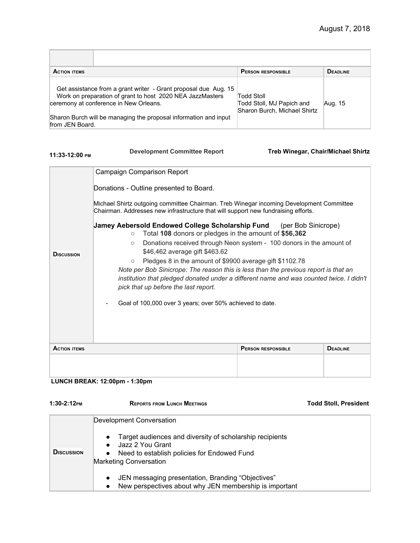| <b>ACTION ITEMS</b>                                                                                                                                                                                                                                           | <b>PERSON RESPONSIBLE</b>                                               | <b>DEADLINE</b> |
|---------------------------------------------------------------------------------------------------------------------------------------------------------------------------------------------------------------------------------------------------------------|-------------------------------------------------------------------------|-----------------|
| Get assistance from a grant writer - Grant proposal due Aug. 15<br>Work on preparation of grant to host 2020 NEA JazzMasters<br>ceremony at conference in New Orleans.<br>Sharon Burch will be managing the proposal information and input<br>from JEN Board. | Todd Stoll<br>Todd Stoll, MJ Papich and<br>Sharon Burch, Michael Shirtz | Aug. 15         |

| 11:33-12:00 PM      | <b>Development Committee Report</b>                                                                                                                                                                                                                                                                                                                                                                                                                                                                                                                                                                                                                                                                                                                                                                                                                                                 | <b>Treb Winegar, Chair/Michael Shirtz</b> |                 |
|---------------------|-------------------------------------------------------------------------------------------------------------------------------------------------------------------------------------------------------------------------------------------------------------------------------------------------------------------------------------------------------------------------------------------------------------------------------------------------------------------------------------------------------------------------------------------------------------------------------------------------------------------------------------------------------------------------------------------------------------------------------------------------------------------------------------------------------------------------------------------------------------------------------------|-------------------------------------------|-----------------|
| <b>D</b> iscussion  | Campaign Comparison Report<br>Donations - Outline presented to Board.<br>Michael Shirtz outgoing committee Chairman. Treb Winegar incoming Development Committee<br>Chairman. Addresses new infrastructure that will support new fundraising efforts.<br>Jamey Aebersold Endowed College Scholarship Fund (per Bob Sinicrope)<br>Total 108 donors or pledges in the amount of \$56,362<br>$\circ$<br>Donations received through Neon system - 100 donors in the amount of<br>$\circ$<br>\$46,462 average gift \$463.62<br>Pledges 8 in the amount of \$9900 average gift \$1102.78<br>$\circ$<br>Note per Bob Sinicrope: The reason this is less than the previous report is that an<br>institution that pledged donated under a different name and was counted twice. I didn't<br>pick that up before the last report.<br>Goal of 100,000 over 3 years; over 50% achieved to date. |                                           |                 |
| <b>ACTION ITEMS</b> |                                                                                                                                                                                                                                                                                                                                                                                                                                                                                                                                                                                                                                                                                                                                                                                                                                                                                     | <b>PERSON RESPONSIBLE</b>                 | <b>DEADLINE</b> |
| $\blacksquare$      |                                                                                                                                                                                                                                                                                                                                                                                                                                                                                                                                                                                                                                                                                                                                                                                                                                                                                     |                                           |                 |

### **LUNCH BREAK: 12:00pm - 1:30pm**

| 1:30-2:12PM       | <b>REPORTS FROM LUNCH MEETINGS</b>                                                                                                                                                             | <b>Todd Stoll, President</b> |
|-------------------|------------------------------------------------------------------------------------------------------------------------------------------------------------------------------------------------|------------------------------|
| <b>DISCUSSION</b> | Development Conversation<br>Target audiences and diversity of scholarship recipients<br>$\bullet$<br>Jazz 2 You Grant<br>$\bullet$<br>Need to establish policies for Endowed Fund<br>$\bullet$ |                              |
|                   | <b>Marketing Conversation</b><br>JEN messaging presentation, Branding "Objectives"<br>$\bullet$<br>New perspectives about why JEN membership is important<br>$\bullet$                         |                              |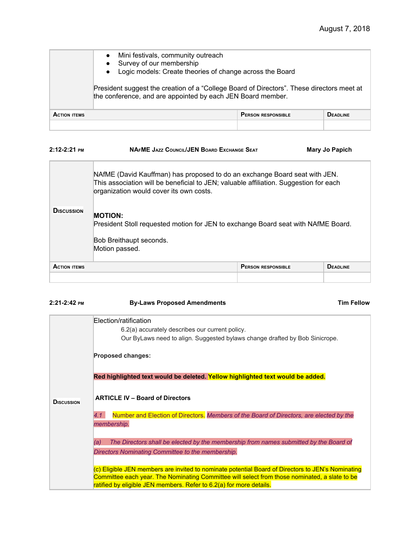|                     | Mini festivals, community outreach<br>$\bullet$<br>• Survey of our membership<br>Logic models: Create theories of change across the Board<br>$\bullet$<br>President suggest the creation of a "College Board of Directors". These directors meet at<br>the conference, and are appointed by each JEN Board member. |                           |                 |
|---------------------|--------------------------------------------------------------------------------------------------------------------------------------------------------------------------------------------------------------------------------------------------------------------------------------------------------------------|---------------------------|-----------------|
| <b>ACTION ITEMS</b> |                                                                                                                                                                                                                                                                                                                    | <b>PERSON RESPONSIBLE</b> | <b>DEADLINE</b> |
|                     |                                                                                                                                                                                                                                                                                                                    |                           |                 |

| $2:12-2:21$ PM                                                                                                           | <b>NAFME JAZZ COUNCIL/JEN BOARD EXCHANGE SEAT</b>                                                                                                                                                              |                           | Mary Jo Papich  |
|--------------------------------------------------------------------------------------------------------------------------|----------------------------------------------------------------------------------------------------------------------------------------------------------------------------------------------------------------|---------------------------|-----------------|
|                                                                                                                          | NAfME (David Kauffman) has proposed to do an exchange Board seat with JEN.<br>This association will be beneficial to JEN; valuable affiliation. Suggestion for each<br>organization would cover its own costs. |                           |                 |
| <b>DISCUSSION</b><br><b>MOTION:</b><br>President Stoll requested motion for JEN to exchange Board seat with NAfME Board. |                                                                                                                                                                                                                |                           |                 |
|                                                                                                                          | Bob Breithaupt seconds.<br>Motion passed.                                                                                                                                                                      |                           |                 |
| <b>ACTION ITEMS</b>                                                                                                      |                                                                                                                                                                                                                | <b>PERSON RESPONSIBLE</b> | <b>DEADLINE</b> |
|                                                                                                                          |                                                                                                                                                                                                                |                           |                 |

| <b>By-Laws Proposed Amendments</b>                                                                | <b>Tim Fellow</b>                                                                                                                                                                        |
|---------------------------------------------------------------------------------------------------|------------------------------------------------------------------------------------------------------------------------------------------------------------------------------------------|
| Election/ratification                                                                             |                                                                                                                                                                                          |
| 6.2(a) accurately describes our current policy.                                                   |                                                                                                                                                                                          |
| Our ByLaws need to align. Suggested bylaws change drafted by Bob Sinicrope.                       |                                                                                                                                                                                          |
| <b>Proposed changes:</b>                                                                          |                                                                                                                                                                                          |
| Red highlighted text would be deleted. Yellow highlighted text would be added.                    |                                                                                                                                                                                          |
| <b>ARTICLE IV - Board of Directors</b>                                                            |                                                                                                                                                                                          |
| 4.1                                                                                               |                                                                                                                                                                                          |
| membership.                                                                                       |                                                                                                                                                                                          |
| The Directors shall be elected by the membership from names submitted by the Board of<br>(a)      |                                                                                                                                                                                          |
| Directors Nominating Committee to the membership.                                                 |                                                                                                                                                                                          |
| (c) Eligible JEN members are invited to nominate potential Board of Directors to JEN's Nominating |                                                                                                                                                                                          |
| ratified by eligible JEN members. Refer to 6.2(a) for more details.                               |                                                                                                                                                                                          |
|                                                                                                   | Number and Election of Directors. Members of the Board of Directors, are elected by the<br>Committee each year. The Nominating Committee will select from those nominated, a slate to be |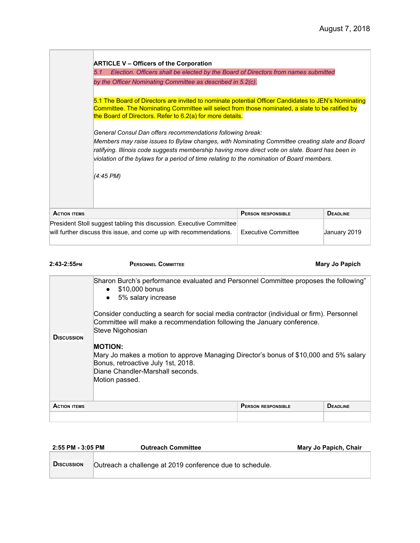|                     | <b>ARTICLE V – Officers of the Corporation</b>                                                                                                                                                                                                                                                                                                                                                                                                                                                                                         |                            |                 |  |
|---------------------|----------------------------------------------------------------------------------------------------------------------------------------------------------------------------------------------------------------------------------------------------------------------------------------------------------------------------------------------------------------------------------------------------------------------------------------------------------------------------------------------------------------------------------------|----------------------------|-----------------|--|
|                     | Election. Officers shall be elected by the Board of Directors from names submitted<br>5.1                                                                                                                                                                                                                                                                                                                                                                                                                                              |                            |                 |  |
|                     | by the Officer Nominating Committee as described in 5.2(c).                                                                                                                                                                                                                                                                                                                                                                                                                                                                            |                            |                 |  |
|                     | 5.1 The Board of Directors are invited to nominate potential Officer Candidates to JEN's Nominating<br>Committee. The Nominating Committee will select from those nominated, a slate to be ratified by<br>the Board of Directors. Refer to 6.2(a) for more details.<br>General Consul Dan offers recommendations following break:<br>Members may raise issues to Bylaw changes, with Nominating Committee creating slate and Board<br>ratifying. Illinois code suggests membership having more direct vote on slate. Board has been in |                            |                 |  |
|                     | violation of the bylaws for a period of time relating to the nomination of Board members.<br>(4:45 PM)                                                                                                                                                                                                                                                                                                                                                                                                                                 |                            |                 |  |
| <b>ACTION ITEMS</b> |                                                                                                                                                                                                                                                                                                                                                                                                                                                                                                                                        | <b>PERSON RESPONSIBLE</b>  | <b>DEADLINE</b> |  |
|                     | President Stoll suggest tabling this discussion. Executive Committee<br>will further discuss this issue, and come up with recommendations.                                                                                                                                                                                                                                                                                                                                                                                             | <b>Executive Committee</b> | January 2019    |  |

| $2:43-2:55$ PM      | <b>PERSONNEL COMMITTEE</b>                                                                                                                                                                          |                           | Mary Jo Papich  |
|---------------------|-----------------------------------------------------------------------------------------------------------------------------------------------------------------------------------------------------|---------------------------|-----------------|
|                     | Sharon Burch's performance evaluated and Personnel Committee proposes the following"<br>\$10,000 bonus<br>$\bullet$<br>5% salary increase<br>$\bullet$                                              |                           |                 |
|                     | Consider conducting a search for social media contractor (individual or firm). Personnel<br>Committee will make a recommendation following the January conference.<br>Steve Nigohosian              |                           |                 |
| <b>DISCUSSION</b>   |                                                                                                                                                                                                     |                           |                 |
|                     | <b>MOTION:</b><br>Mary Jo makes a motion to approve Managing Director's bonus of \$10,000 and 5% salary<br>Bonus, retroactive July 1st, 2018.<br>Diane Chandler-Marshall seconds.<br>Motion passed. |                           |                 |
| <b>ACTION ITEMS</b> |                                                                                                                                                                                                     | <b>PERSON RESPONSIBLE</b> | <b>DEADLINE</b> |
|                     |                                                                                                                                                                                                     |                           |                 |

| 2:55 PM - 3:05 PM | <b>Outreach Committee</b>                                | Mary Jo Papich, Chair |
|-------------------|----------------------------------------------------------|-----------------------|
| <b>DISCUSSION</b> | Outreach a challenge at 2019 conference due to schedule. |                       |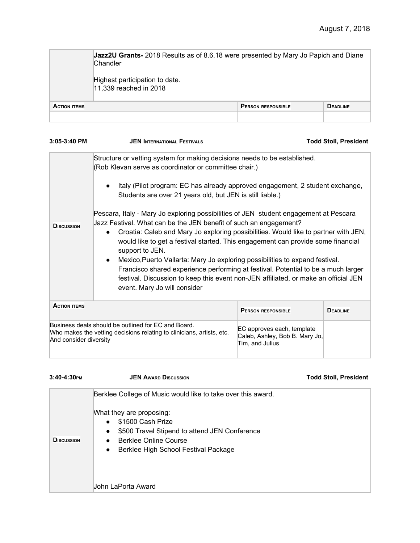|                     | <b>Jazz2U Grants-</b> 2018 Results as of 8.6.18 were presented by Mary Jo Papich and Diane<br>Chandler<br>Highest participation to date.<br>11,339 reached in 2018 |                           |                 |
|---------------------|--------------------------------------------------------------------------------------------------------------------------------------------------------------------|---------------------------|-----------------|
| <b>ACTION ITEMS</b> |                                                                                                                                                                    | <b>PERSON RESPONSIBLE</b> | <b>DEADLINE</b> |
|                     |                                                                                                                                                                    |                           |                 |

| $3:05-3:40$ PM                                                                                                                                         | <b>JEN INTERNATIONAL FESTIVALS</b>                                                                                                                                                                                                                                                                                                                                                                                                                                                                                                                                                                                                                                |                                                                                 | <b>Todd Stoll, President</b> |
|--------------------------------------------------------------------------------------------------------------------------------------------------------|-------------------------------------------------------------------------------------------------------------------------------------------------------------------------------------------------------------------------------------------------------------------------------------------------------------------------------------------------------------------------------------------------------------------------------------------------------------------------------------------------------------------------------------------------------------------------------------------------------------------------------------------------------------------|---------------------------------------------------------------------------------|------------------------------|
|                                                                                                                                                        | Structure or vetting system for making decisions needs to be established.<br>(Rob Klevan serve as coordinator or committee chair.)                                                                                                                                                                                                                                                                                                                                                                                                                                                                                                                                |                                                                                 |                              |
|                                                                                                                                                        | Italy (Pilot program: EC has already approved engagement, 2 student exchange,<br>Students are over 21 years old, but JEN is still liable.)                                                                                                                                                                                                                                                                                                                                                                                                                                                                                                                        |                                                                                 |                              |
| <b>D</b> iscussion                                                                                                                                     | Pescara, Italy - Mary Jo exploring possibilities of JEN student engagement at Pescara<br>Jazz Festival. What can be the JEN benefit of such an engagement?<br>Croatia: Caleb and Mary Jo exploring possibilities. Would like to partner with JEN,<br>would like to get a festival started. This engagement can provide some financial<br>support to JEN.<br>Mexico, Puerto Vallarta: Mary Jo exploring possibilities to expand festival.<br>$\bullet$<br>Francisco shared experience performing at festival. Potential to be a much larger<br>festival. Discussion to keep this event non-JEN affiliated, or make an official JEN<br>event. Mary Jo will consider |                                                                                 |                              |
| <b>ACTION ITEMS</b>                                                                                                                                    |                                                                                                                                                                                                                                                                                                                                                                                                                                                                                                                                                                                                                                                                   | <b>PERSON RESPONSIBLE</b>                                                       | <b>DEADLINE</b>              |
| Business deals should be outlined for EC and Board.<br>Who makes the vetting decisions relating to clinicians, artists, etc.<br>And consider diversity |                                                                                                                                                                                                                                                                                                                                                                                                                                                                                                                                                                                                                                                                   | EC approves each, template<br>Caleb, Ashley, Bob B. Mary Jo,<br>Tim, and Julius |                              |

| $3:40-4:30$ PM     | <b>JEN AWARD DISCUSSION</b>                                                                                                                                 | <b>Todd Stoll, President</b> |
|--------------------|-------------------------------------------------------------------------------------------------------------------------------------------------------------|------------------------------|
|                    | Berklee College of Music would like to take over this award.                                                                                                |                              |
| <b>D</b> ISCUSSION | What they are proposing:<br>$\bullet$ \$1500 Cash Prize<br>\$500 Travel Stipend to attend JEN Conference<br>$\bullet$<br>Berklee Online Course<br>$\bullet$ |                              |
|                    | Berklee High School Festival Package<br>$\bullet$                                                                                                           |                              |
|                    | IJohn LaPorta Award                                                                                                                                         |                              |